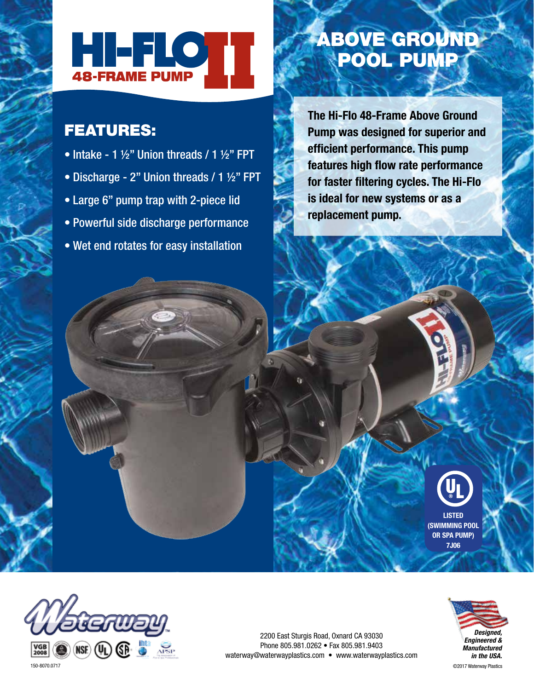

## FEATURES:

- Intake 1  $\frac{1}{2}$ " Union threads / 1  $\frac{1}{2}$ " FPT
- Discharge 2" Union threads / 1 ½" FPT
- Large 6" pump trap with 2-piece lid
- Powerful side discharge performance
- Wet end rotates for easy installation

## ABOVE GROUND POOL PUMP

**The Hi-Flo 48-Frame Above Ground Pump was designed for superior and efficient performance. This pump features high flow rate performance for faster filtering cycles. The Hi-Flo is ideal for new systems or as a replacement pump.**

> **LISTED (SWIMMING POOL OR SPA PUMP) 7J06**



2200 East Sturgis Road, Oxnard CA 93030 Phone 805.981.0262 • Fax 805.981.9403 waterway@waterwayplastics.com • www.waterwayplastics.com